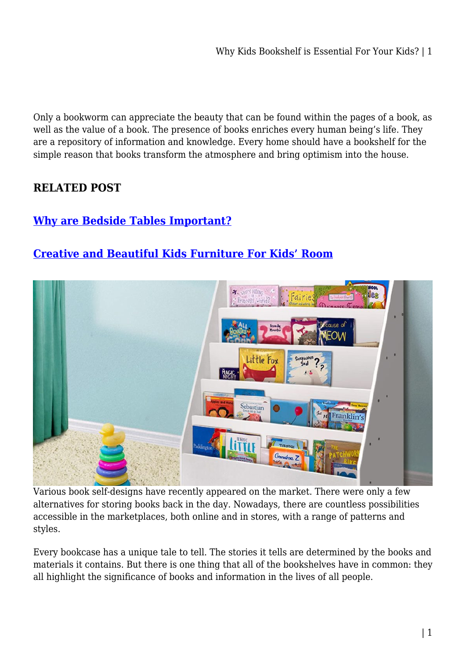Only a bookworm can appreciate the beauty that can be found within the pages of a book, as well as the value of a book. The presence of books enriches every human being's life. They are a repository of information and knowledge. Every home should have a bookshelf for the simple reason that books transform the atmosphere and bring optimism into the house.

### **RELATED POST**

### **[Why are Bedside Tables Important?](https://bubbaearth.com.au/why-are-bedside-tables-important/)**

## **[Creative and Beautiful Kids Furniture For Kids' Room](https://bubbaearth.com.au/creative-and-beautiful-kids-furniture-for-kids-room/)**



Various book self-designs have recently appeared on the market. There were only a few alternatives for storing books back in the day. Nowadays, there are countless possibilities accessible in the marketplaces, both online and in stores, with a range of patterns and styles.

Every bookcase has a unique tale to tell. The stories it tells are determined by the books and materials it contains. But there is one thing that all of the bookshelves have in common: they all highlight the significance of books and information in the lives of all people.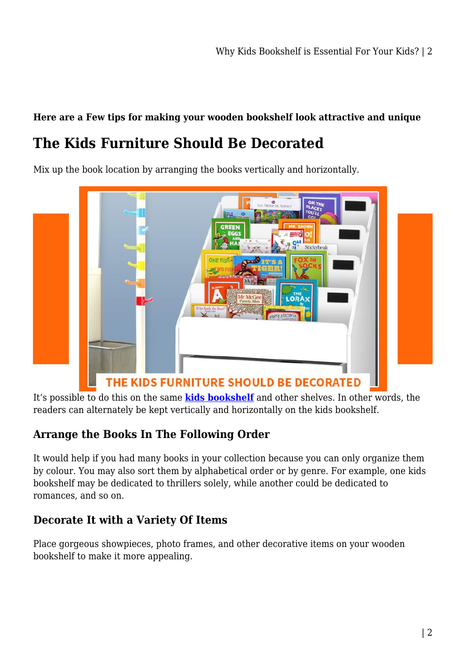#### **Here are a Few tips for making your wooden bookshelf look attractive and unique**

# **The Kids Furniture Should Be Decorated**

Mix up the book location by arranging the books vertically and horizontally.



It's possible to do this on the same **[kids bookshelf](https://kidsrideoncar.com.au/kids-furniture/bookshelf/)** and other shelves. In other words, the readers can alternately be kept vertically and horizontally on the kids bookshelf.

### **Arrange the Books In The Following Order**

It would help if you had many books in your collection because you can only organize them by colour. You may also sort them by alphabetical order or by genre. For example, one kids bookshelf may be dedicated to thrillers solely, while another could be dedicated to romances, and so on.

### **Decorate It with a Variety Of Items**

Place gorgeous showpieces, photo frames, and other decorative items on your wooden bookshelf to make it more appealing.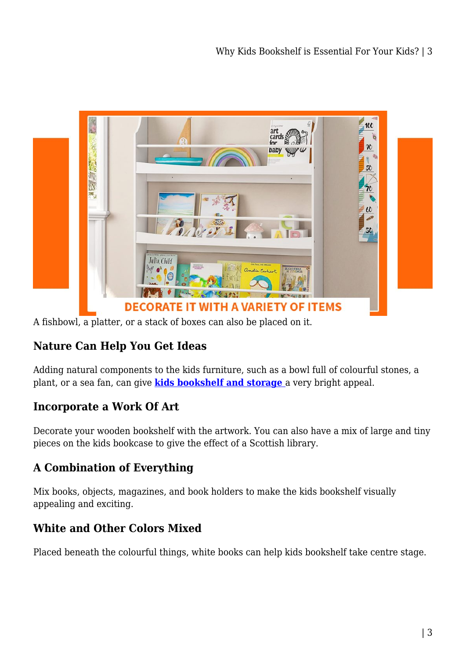

A fishbowl, a platter, or a stack of boxes can also be placed on it.

## **Nature Can Help You Get Ideas**

Adding natural components to the kids furniture, such as a bowl full of colourful stones, a plant, or a sea fan, can give **[kids bookshelf and storage](https://kidsrideoncar.com.au/kids-furniture/bookshelf/)** a very bright appeal.

### **Incorporate a Work Of Art**

Decorate your wooden bookshelf with the artwork. You can also have a mix of large and tiny pieces on the kids bookcase to give the effect of a Scottish library.

### **A Combination of Everything**

Mix books, objects, magazines, and book holders to make the kids bookshelf visually appealing and exciting.

### **White and Other Colors Mixed**

Placed beneath the colourful things, white books can help kids bookshelf take centre stage.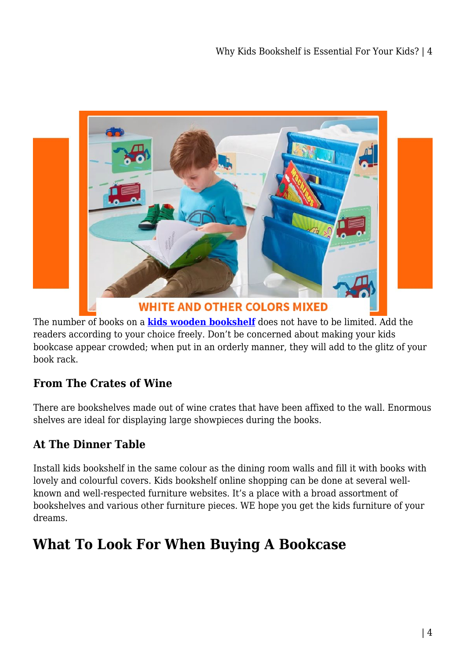

**WHITE AND OTHER COLORS MIXED** 

The number of books on a **[kids wooden bookshelf](https://kidsrideoncar.com.au/kids-furniture/bookshelf/)** does not have to be limited. Add the readers according to your choice freely. Don't be concerned about making your kids bookcase appear crowded; when put in an orderly manner, they will add to the glitz of your book rack.

## **From The Crates of Wine**

There are bookshelves made out of wine crates that have been affixed to the wall. Enormous shelves are ideal for displaying large showpieces during the books.

## **At The Dinner Table**

Install kids bookshelf in the same colour as the dining room walls and fill it with books with lovely and colourful covers. Kids bookshelf online shopping can be done at several wellknown and well-respected furniture websites. It's a place with a broad assortment of bookshelves and various other furniture pieces. WE hope you get the kids furniture of your dreams.

# **What To Look For When Buying A Bookcase**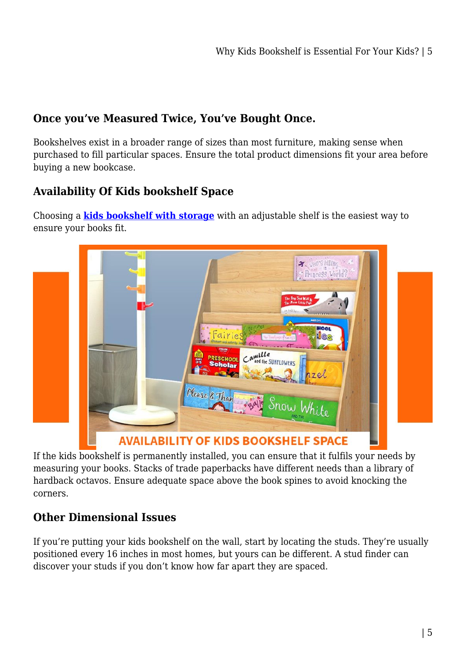## **Once you've Measured Twice, You've Bought Once.**

Bookshelves exist in a broader range of sizes than most furniture, making sense when purchased to fill particular spaces. Ensure the total product dimensions fit your area before buying a new bookcase.

## **Availability Of Kids bookshelf Space**

Choosing a **[kids bookshelf with storage](https://kidsrideoncar.com.au/kids-furniture/bookshelf/)** with an adjustable shelf is the easiest way to ensure your books fit.



If the kids bookshelf is permanently installed, you can ensure that it fulfils your needs by measuring your books. Stacks of trade paperbacks have different needs than a library of hardback octavos. Ensure adequate space above the book spines to avoid knocking the corners.

### **Other Dimensional Issues**

If you're putting your kids bookshelf on the wall, start by locating the studs. They're usually positioned every 16 inches in most homes, but yours can be different. A stud finder can discover your studs if you don't know how far apart they are spaced.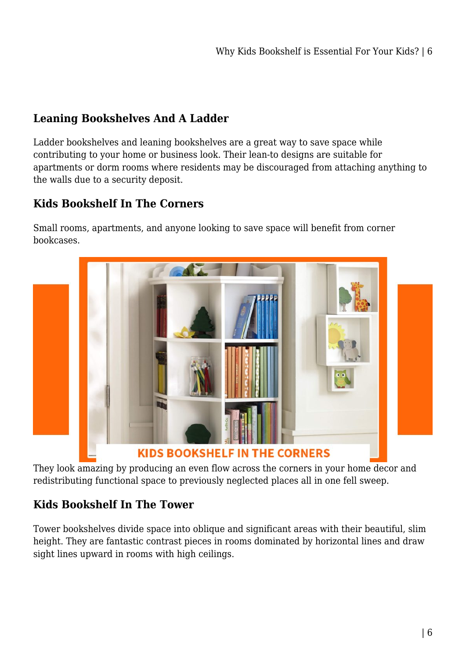### **Leaning Bookshelves And A Ladder**

Ladder bookshelves and leaning bookshelves are a great way to save space while contributing to your home or business look. Their lean-to designs are suitable for apartments or dorm rooms where residents may be discouraged from attaching anything to the walls due to a security deposit.

## **Kids Bookshelf In The Corners**

Small rooms, apartments, and anyone looking to save space will benefit from corner bookcases.



They look amazing by producing an even flow across the corners in your home decor and redistributing functional space to previously neglected places all in one fell sweep.

## **Kids Bookshelf In The Tower**

Tower bookshelves divide space into oblique and significant areas with their beautiful, slim height. They are fantastic contrast pieces in rooms dominated by horizontal lines and draw sight lines upward in rooms with high ceilings.